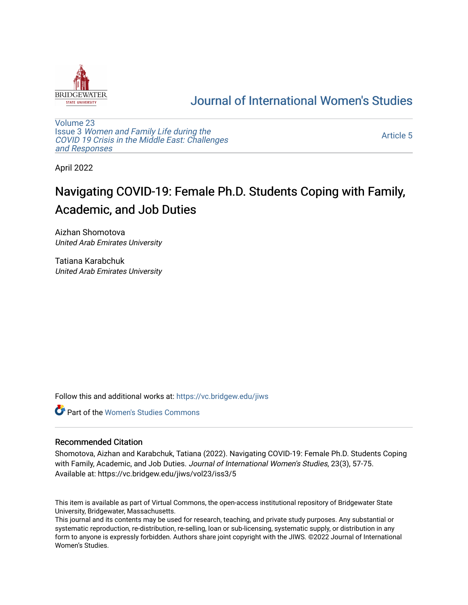

## [Journal of International Women's Studies](https://vc.bridgew.edu/jiws)

[Volume 23](https://vc.bridgew.edu/jiws/vol23) Issue 3 [Women and Family Life during the](https://vc.bridgew.edu/jiws/vol23/iss3)  [COVID 19 Crisis in the Middle East: Challenges](https://vc.bridgew.edu/jiws/vol23/iss3) [and Responses](https://vc.bridgew.edu/jiws/vol23/iss3) 

[Article 5](https://vc.bridgew.edu/jiws/vol23/iss3/5) 

April 2022

# Navigating COVID-19: Female Ph.D. Students Coping with Family, Academic, and Job Duties

Aizhan Shomotova United Arab Emirates University

Tatiana Karabchuk United Arab Emirates University

Follow this and additional works at: [https://vc.bridgew.edu/jiws](https://vc.bridgew.edu/jiws?utm_source=vc.bridgew.edu%2Fjiws%2Fvol23%2Fiss3%2F5&utm_medium=PDF&utm_campaign=PDFCoverPages)

**C** Part of the Women's Studies Commons

#### Recommended Citation

Shomotova, Aizhan and Karabchuk, Tatiana (2022). Navigating COVID-19: Female Ph.D. Students Coping with Family, Academic, and Job Duties. Journal of International Women's Studies, 23(3), 57-75. Available at: https://vc.bridgew.edu/jiws/vol23/iss3/5

This item is available as part of Virtual Commons, the open-access institutional repository of Bridgewater State University, Bridgewater, Massachusetts.

This journal and its contents may be used for research, teaching, and private study purposes. Any substantial or systematic reproduction, re-distribution, re-selling, loan or sub-licensing, systematic supply, or distribution in any form to anyone is expressly forbidden. Authors share joint copyright with the JIWS. ©2022 Journal of International Women's Studies.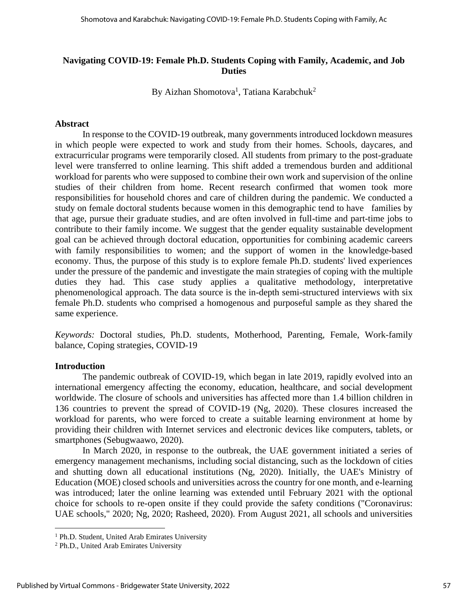#### **Navigating COVID-19: Female Ph.D. Students Coping with Family, Academic, and Job Duties**

By Aizhan Shomotova<sup>1</sup>, Tatiana Karabchuk<sup>2</sup>

#### **Abstract**

In response to the COVID-19 outbreak, many governments introduced lockdown measures in which people were expected to work and study from their homes. Schools, daycares, and extracurricular programs were temporarily closed. All students from primary to the post-graduate level were transferred to online learning. This shift added a tremendous burden and additional workload for parents who were supposed to combine their own work and supervision of the online studies of their children from home. Recent research confirmed that women took more responsibilities for household chores and care of children during the pandemic. We conducted a study on female doctoral students because women in this demographic tend to have families by that age, pursue their graduate studies, and are often involved in full-time and part-time jobs to contribute to their family income. We suggest that the gender equality sustainable development goal can be achieved through doctoral education, opportunities for combining academic careers with family responsibilities to women; and the support of women in the knowledge-based economy. Thus, the purpose of this study is to explore female Ph.D. students' lived experiences under the pressure of the pandemic and investigate the main strategies of coping with the multiple duties they had. This case study applies a qualitative methodology, interpretative phenomenological approach. The data source is the in-depth semi-structured interviews with six female Ph.D. students who comprised a homogenous and purposeful sample as they shared the same experience.

*Keywords:* Doctoral studies, Ph.D. students, Motherhood, Parenting, Female, Work-family balance, Coping strategies, COVID-19

#### **Introduction**

The pandemic outbreak of COVID-19, which began in late 2019, rapidly evolved into an international emergency affecting the economy, education, healthcare, and social development worldwide. The closure of schools and universities has affected more than 1.4 billion children in 136 countries to prevent the spread of COVID-19 (Ng, 2020). These closures increased the workload for parents, who were forced to create a suitable learning environment at home by providing their children with Internet services and electronic devices like computers, tablets, or smartphones (Sebugwaawo, 2020).

In March 2020, in response to the outbreak, the UAE government initiated a series of emergency management mechanisms, including social distancing, such as the lockdown of cities and shutting down all educational institutions (Ng, 2020). Initially, the UAE's Ministry of Education (MOE) closed schools and universities across the country for one month, and e-learning was introduced; later the online learning was extended until February 2021 with the optional choice for schools to re-open onsite if they could provide the safety conditions ("Coronavirus: UAE schools," 2020; Ng, 2020; Rasheed, 2020). From August 2021, all schools and universities

<sup>&</sup>lt;sup>1</sup> Ph.D. Student, United Arab Emirates University

<sup>2</sup> Ph.D., United Arab Emirates University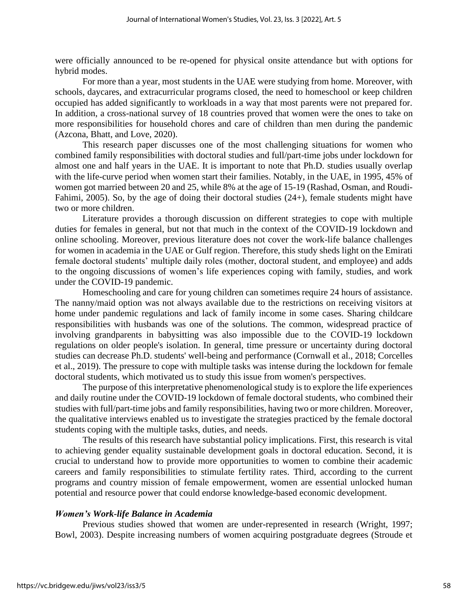were officially announced to be re-opened for physical onsite attendance but with options for hybrid modes.

For more than a year, most students in the UAE were studying from home. Moreover, with schools, daycares, and extracurricular programs closed, the need to homeschool or keep children occupied has added significantly to workloads in a way that most parents were not prepared for. In addition, a cross-national survey of 18 countries proved that women were the ones to take on more responsibilities for household chores and care of children than men during the pandemic (Azcona, Bhatt, and Love, 2020).

This research paper discusses one of the most challenging situations for women who combined family responsibilities with doctoral studies and full/part-time jobs under lockdown for almost one and half years in the UAE. It is important to note that Ph.D. studies usually overlap with the life-curve period when women start their families. Notably, in the UAE, in 1995, 45% of women got married between 20 and 25, while 8% at the age of 15-19 (Rashad, Osman, and Roudi-Fahimi, 2005). So, by the age of doing their doctoral studies (24+), female students might have two or more children.

Literature provides a thorough discussion on different strategies to cope with multiple duties for females in general, but not that much in the context of the COVID-19 lockdown and online schooling. Moreover, previous literature does not cover the work-life balance challenges for women in academia in the UAE or Gulf region. Therefore, this study sheds light on the Emirati female doctoral students' multiple daily roles (mother, doctoral student, and employee) and adds to the ongoing discussions of women's life experiences coping with family, studies, and work under the COVID-19 pandemic.

Homeschooling and care for young children can sometimes require 24 hours of assistance. The nanny/maid option was not always available due to the restrictions on receiving visitors at home under pandemic regulations and lack of family income in some cases. Sharing childcare responsibilities with husbands was one of the solutions. The common, widespread practice of involving grandparents in babysitting was also impossible due to the COVID-19 lockdown regulations on older people's isolation. In general, time pressure or uncertainty during doctoral studies can decrease Ph.D. students' well-being and performance (Cornwall et al., 2018; Corcelles et al., 2019). The pressure to cope with multiple tasks was intense during the lockdown for female doctoral students, which motivated us to study this issue from women's perspectives.

The purpose of this interpretative phenomenological study is to explore the life experiences and daily routine under the COVID-19 lockdown of female doctoral students, who combined their studies with full/part-time jobs and family responsibilities, having two or more children. Moreover, the qualitative interviews enabled us to investigate the strategies practiced by the female doctoral students coping with the multiple tasks, duties, and needs.

The results of this research have substantial policy implications. First, this research is vital to achieving gender equality sustainable development goals in doctoral education. Second, it is crucial to understand how to provide more opportunities to women to combine their academic careers and family responsibilities to stimulate fertility rates. Third, according to the current programs and country mission of female empowerment, women are essential unlocked human potential and resource power that could endorse knowledge-based economic development.

#### *Women's Work-life Balance in Academia*

Previous studies showed that women are under-represented in research (Wright, 1997; Bowl, 2003). Despite increasing numbers of women acquiring postgraduate degrees (Stroude et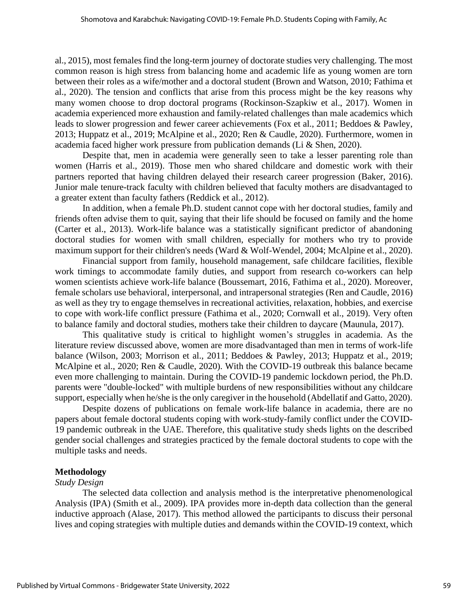al., 2015), most females find the long-term journey of doctorate studies very challenging. The most common reason is high stress from balancing home and academic life as young women are torn between their roles as a wife/mother and a doctoral student (Brown and Watson, 2010; Fathima et al., 2020). The tension and conflicts that arise from this process might be the key reasons why many women choose to drop doctoral programs (Rockinson-Szapkiw et al., 2017). Women in academia experienced more exhaustion and family-related challenges than male academics which leads to slower progression and fewer career achievements (Fox et al., 2011; Beddoes & Pawley, 2013; Huppatz et al., 2019; McAlpine et al., 2020; Ren & Caudle, 2020). Furthermore, women in academia faced higher work pressure from publication demands (Li & Shen, 2020).

Despite that, men in academia were generally seen to take a lesser parenting role than women (Harris et al., 2019). Those men who shared childcare and domestic work with their partners reported that having children delayed their research career progression (Baker, 2016). Junior male tenure-track faculty with children believed that faculty mothers are disadvantaged to a greater extent than faculty fathers (Reddick et al., 2012).

In addition, when a female Ph.D. student cannot cope with her doctoral studies, family and friends often advise them to quit, saying that their life should be focused on family and the home (Carter et al., 2013). Work-life balance was a statistically significant predictor of abandoning doctoral studies for women with small children, especially for mothers who try to provide maximum support for their children's needs (Ward & Wolf-Wendel, 2004; McAlpine et al., 2020).

Financial support from family, household management, safe childcare facilities, flexible work timings to accommodate family duties, and support from research co-workers can help women scientists achieve work-life balance (Boussemart, 2016, Fathima et al., 2020). Moreover, female scholars use behavioral, interpersonal, and intrapersonal strategies (Ren and Caudle, 2016) as well as they try to engage themselves in recreational activities, relaxation, hobbies, and exercise to cope with work-life conflict pressure (Fathima et al., 2020; Cornwall et al., 2019). Very often to balance family and doctoral studies, mothers take their children to daycare (Maunula, 2017).

This qualitative study is critical to highlight women's struggles in academia. As the literature review discussed above, women are more disadvantaged than men in terms of work-life balance (Wilson, 2003; Morrison et al., 2011; Beddoes & Pawley, 2013; Huppatz et al., 2019; McAlpine et al., 2020; Ren & Caudle, 2020). With the COVID-19 outbreak this balance became even more challenging to maintain. During the COVID-19 pandemic lockdown period, the Ph.D. parents were "double-locked" with multiple burdens of new responsibilities without any childcare support, especially when he/she is the only caregiver in the household (Abdellatif and Gatto, 2020).

Despite dozens of publications on female work-life balance in academia, there are no papers about female doctoral students coping with work-study-family conflict under the COVID-19 pandemic outbreak in the UAE. Therefore, this qualitative study sheds lights on the described gender social challenges and strategies practiced by the female doctoral students to cope with the multiple tasks and needs.

#### **Methodology**

#### *Study Design*

The selected data collection and analysis method is the interpretative phenomenological Analysis (IPA) (Smith et al., 2009). IPA provides more in-depth data collection than the general inductive approach (Alase, 2017). This method allowed the participants to discuss their personal lives and coping strategies with multiple duties and demands within the COVID-19 context, which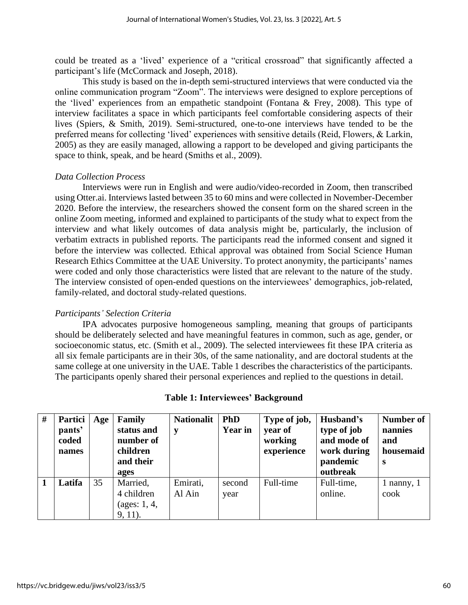could be treated as a 'lived' experience of a "critical crossroad" that significantly affected a participant's life (McCormack and Joseph, 2018).

This study is based on the in-depth semi-structured interviews that were conducted via the online communication program "Zoom". The interviews were designed to explore perceptions of the 'lived' experiences from an empathetic standpoint (Fontana & Frey, 2008). This type of interview facilitates a space in which participants feel comfortable considering aspects of their lives (Spiers, & Smith, 2019). Semi-structured, one-to-one interviews have tended to be the preferred means for collecting 'lived' experiences with sensitive details (Reid, Flowers, & Larkin, 2005) as they are easily managed, allowing a rapport to be developed and giving participants the space to think, speak, and be heard (Smiths et al., 2009).

## *Data Collection Process*

Interviews were run in English and were audio/video-recorded in Zoom, then transcribed using Otter.ai. Interviews lasted between 35 to 60 mins and were collected in November-December 2020. Before the interview, the researchers showed the consent form on the shared screen in the online Zoom meeting, informed and explained to participants of the study what to expect from the interview and what likely outcomes of data analysis might be, particularly, the inclusion of verbatim extracts in published reports. The participants read the informed consent and signed it before the interview was collected. Ethical approval was obtained from Social Science Human Research Ethics Committee at the UAE University. To protect anonymity, the participants' names were coded and only those characteristics were listed that are relevant to the nature of the study. The interview consisted of open-ended questions on the interviewees' demographics, job-related, family-related, and doctoral study-related questions.

## *Participants' Selection Criteria*

IPA advocates purposive homogeneous sampling, meaning that groups of participants should be deliberately selected and have meaningful features in common, such as age, gender, or socioeconomic status, etc. (Smith et al., 2009). The selected interviewees fit these IPA criteria as all six female participants are in their 30s, of the same nationality, and are doctoral students at the same college at one university in the UAE. Table 1 describes the characteristics of the participants. The participants openly shared their personal experiences and replied to the questions in detail.

| # | <b>Partici</b><br>pants'<br>coded<br>names | Age | Family<br>status and<br>number of<br>children<br>and their<br>ages | <b>Nationalit</b><br>у | <b>PhD</b><br><b>Year in</b> | Type of job,<br>year of<br>working<br>experience | Husband's<br>type of job<br>and mode of<br>work during<br>pandemic<br>outbreak | <b>Number of</b><br>nannies<br>and<br>housemaid<br><b>S</b> |
|---|--------------------------------------------|-----|--------------------------------------------------------------------|------------------------|------------------------------|--------------------------------------------------|--------------------------------------------------------------------------------|-------------------------------------------------------------|
|   | Latifa                                     | 35  | Married,<br>4 children<br>(ages: $1, 4$ ,<br>$9, 11$ .             | Emirati,<br>Al Ain     | second<br>year               | Full-time                                        | Full-time,<br>online.                                                          | 1 nanny, $1$<br>cook                                        |

## **Table 1: Interviewees' Background**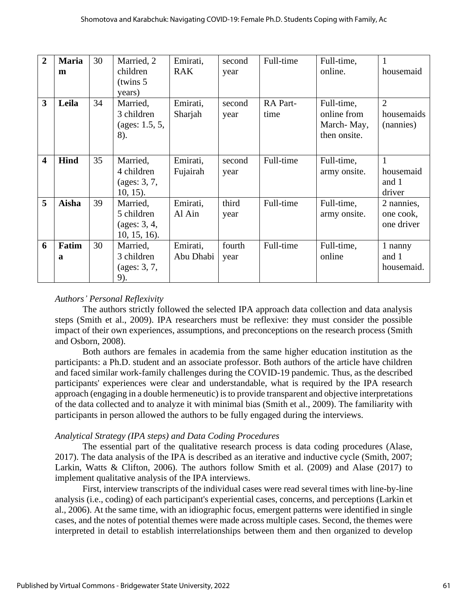| $\overline{2}$          | <b>Maria</b> | 30 | Married, 2             | Emirati,   | second | Full-time | Full-time,   |                |
|-------------------------|--------------|----|------------------------|------------|--------|-----------|--------------|----------------|
|                         | m            |    | children               | <b>RAK</b> | year   |           | online.      | housemaid      |
|                         |              |    | (twins 5)              |            |        |           |              |                |
|                         |              |    | years)                 |            |        |           |              |                |
|                         |              |    |                        |            |        |           |              |                |
| 3                       | Leila        | 34 | Married,               | Emirati,   | second | RA Part-  | Full-time,   | $\overline{2}$ |
|                         |              |    | 3 children             | Sharjah    | year   | time      | online from  | housemaids     |
|                         |              |    | (ages: $1.5, 5,$       |            |        |           | March-May,   | (nannies)      |
|                         |              |    | 8).                    |            |        |           | then onsite. |                |
|                         |              |    |                        |            |        |           |              |                |
|                         |              |    |                        |            |        |           |              |                |
| $\overline{\mathbf{4}}$ | <b>Hind</b>  | 35 | Married,               | Emirati,   | second | Full-time | Full-time,   | $\mathbf{1}$   |
|                         |              |    | 4 children             | Fujairah   | year   |           | army onsite. | housemaid      |
|                         |              |    | $(\text{ages: } 3, 7,$ |            |        |           |              | and 1          |
|                         |              |    | $10, 15$ ).            |            |        |           |              | driver         |
| 5                       | Aisha        | 39 | Married,               | Emirati,   | third  | Full-time | Full-time,   | 2 nannies,     |
|                         |              |    | 5 children             | Al Ain     | year   |           | army onsite. | one cook,      |
|                         |              |    | $(\text{ages: } 3, 4,$ |            |        |           |              | one driver     |
|                         |              |    | $10, 15, 16$ .         |            |        |           |              |                |
|                         |              |    |                        |            |        |           |              |                |
| 6                       | Fatim        | 30 | Married,               | Emirati,   | fourth | Full-time | Full-time,   | 1 nanny        |
|                         | a            |    | 3 children             | Abu Dhabi  | year   |           | online       | and 1          |
|                         |              |    | $(\text{ages: } 3, 7,$ |            |        |           |              | housemaid.     |
|                         |              |    | 9).                    |            |        |           |              |                |

## *Authors' Personal Reflexivity*

The authors strictly followed the selected IPA approach data collection and data analysis steps (Smith et al., 2009). IPA researchers must be reflexive: they must consider the possible impact of their own experiences, assumptions, and preconceptions on the research process (Smith and Osborn, 2008).

Both authors are females in academia from the same higher education institution as the participants: a Ph.D. student and an associate professor. Both authors of the article have children and faced similar work-family challenges during the COVID-19 pandemic. Thus, as the described participants' experiences were clear and understandable, what is required by the IPA research approach (engaging in a double hermeneutic) is to provide transparent and objective interpretations of the data collected and to analyze it with minimal bias (Smith et al., 2009). The familiarity with participants in person allowed the authors to be fully engaged during the interviews.

## *Analytical Strategy (IPA steps) and Data Coding Procedures*

The essential part of the qualitative research process is data coding procedures (Alase, 2017). The data analysis of the IPA is described as an iterative and inductive cycle (Smith, 2007; Larkin, Watts & Clifton, 2006). The authors follow Smith et al. (2009) and Alase (2017) to implement qualitative analysis of the IPA interviews.

First, interview transcripts of the individual cases were read several times with line-by-line analysis (i.e., coding) of each participant's experiential cases, concerns, and perceptions (Larkin et al., 2006). At the same time, with an idiographic focus, emergent patterns were identified in single cases, and the notes of potential themes were made across multiple cases. Second, the themes were interpreted in detail to establish interrelationships between them and then organized to develop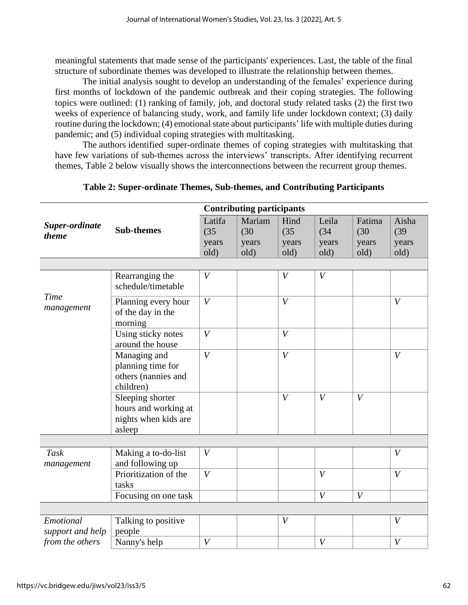meaningful statements that made sense of the participants' experiences. Last, the table of the final structure of subordinate themes was developed to illustrate the relationship between themes.

The initial analysis sought to develop an understanding of the females' experience during first months of lockdown of the pandemic outbreak and their coping strategies. The following topics were outlined: (1) ranking of family, job, and doctoral study related tasks (2) the first two weeks of experience of balancing study, work, and family life under lockdown context; (3) daily routine during the lockdown; (4) emotional state about participants' life with multiple duties during pandemic; and (5) individual coping strategies with multitasking.

The authors identified super-ordinate themes of coping strategies with multitasking that have few variations of sub-themes across the interviews' transcripts. After identifying recurrent themes, Table 2 below visually shows the interconnections between the recurrent group themes.

|                           |                                                                            | <b>Contributing participants</b> |        |                  |                  |                  |                  |  |
|---------------------------|----------------------------------------------------------------------------|----------------------------------|--------|------------------|------------------|------------------|------------------|--|
| Super-ordinate            |                                                                            | Latifa                           | Mariam | Hind             | Leila            | Fatima           | Aisha            |  |
| theme                     | <b>Sub-themes</b>                                                          | (35)                             | (30)   | (35)             | (34)             | (30)             | (39)             |  |
|                           |                                                                            | years                            | years  | years            | years            | years            | years            |  |
|                           |                                                                            | old)                             | old)   | old)             | old)             | old)             | old)             |  |
|                           |                                                                            |                                  |        |                  |                  |                  |                  |  |
|                           | Rearranging the<br>schedule/timetable                                      | V                                |        | $\boldsymbol{V}$ | $\boldsymbol{V}$ |                  |                  |  |
| Time                      | Planning every hour                                                        | V                                |        | $\boldsymbol{V}$ |                  |                  | V                |  |
| management                | of the day in the<br>morning                                               |                                  |        |                  |                  |                  |                  |  |
|                           | Using sticky notes<br>around the house                                     | V                                |        | $\boldsymbol{V}$ |                  |                  |                  |  |
|                           | Managing and<br>planning time for<br>others (nannies and<br>children)      | V                                |        | $\boldsymbol{V}$ |                  |                  | $\boldsymbol{V}$ |  |
|                           | Sleeping shorter<br>hours and working at<br>nights when kids are<br>asleep |                                  |        | V                | $\overline{V}$   | V                |                  |  |
|                           |                                                                            |                                  |        |                  |                  |                  |                  |  |
| <b>Task</b><br>management | Making a to-do-list<br>and following up                                    | $\boldsymbol{V}$                 |        |                  |                  |                  | $\boldsymbol{V}$ |  |
|                           | Prioritization of the<br>tasks                                             | $\boldsymbol{V}$                 |        |                  | $\boldsymbol{V}$ |                  | $\boldsymbol{V}$ |  |
|                           | Focusing on one task                                                       |                                  |        |                  | $\overline{V}$   | $\boldsymbol{V}$ |                  |  |
|                           |                                                                            |                                  |        |                  |                  |                  |                  |  |
| Emotional                 | Talking to positive                                                        |                                  |        | $\boldsymbol{V}$ |                  |                  | $\boldsymbol{V}$ |  |
| support and help          | people                                                                     |                                  |        |                  |                  |                  |                  |  |
| from the others           | Nanny's help                                                               | $\boldsymbol{V}$                 |        |                  | $\boldsymbol{V}$ |                  | $\boldsymbol{V}$ |  |

**Table 2: Super-ordinate Themes, Sub-themes, and Contributing Participants**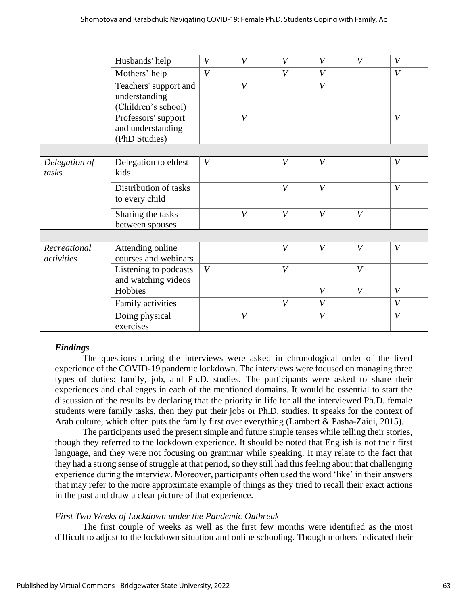|               | Husbands' help        | $\boldsymbol{V}$ | V                | V                | $\boldsymbol{V}$ | $\boldsymbol{V}$ | $\boldsymbol{V}$ |
|---------------|-----------------------|------------------|------------------|------------------|------------------|------------------|------------------|
|               | Mothers' help         | $\boldsymbol{V}$ |                  | V                | $\boldsymbol{V}$ |                  | V                |
|               | Teachers' support and |                  | $\boldsymbol{V}$ |                  | $\boldsymbol{V}$ |                  |                  |
|               | understanding         |                  |                  |                  |                  |                  |                  |
|               | (Children's school)   |                  |                  |                  |                  |                  |                  |
|               | Professors' support   |                  | V                |                  |                  |                  | V                |
|               | and understanding     |                  |                  |                  |                  |                  |                  |
|               | (PhD Studies)         |                  |                  |                  |                  |                  |                  |
|               |                       |                  |                  |                  |                  |                  |                  |
| Delegation of | Delegation to eldest  | $\boldsymbol{V}$ |                  | $\boldsymbol{V}$ | $\boldsymbol{V}$ |                  | $\boldsymbol{V}$ |
| tasks         | kids                  |                  |                  |                  |                  |                  |                  |
|               | Distribution of tasks |                  |                  | V                | $\boldsymbol{V}$ |                  | V                |
|               |                       |                  |                  |                  |                  |                  |                  |
|               | to every child        |                  |                  |                  |                  |                  |                  |
|               | Sharing the tasks     |                  | V                | V                | $\boldsymbol{V}$ | V                |                  |
|               | between spouses       |                  |                  |                  |                  |                  |                  |
|               |                       |                  |                  |                  |                  |                  |                  |
| Recreational  | Attending online      |                  |                  | $\boldsymbol{V}$ | $\boldsymbol{V}$ | V                | $\boldsymbol{V}$ |
| activities    | courses and webinars  |                  |                  |                  |                  |                  |                  |
|               | Listening to podcasts | $\boldsymbol{V}$ |                  | $\boldsymbol{V}$ |                  | V                |                  |
|               | and watching videos   |                  |                  |                  |                  |                  |                  |
|               | Hobbies               |                  |                  |                  | $\boldsymbol{V}$ | V                | V                |
|               | Family activities     |                  |                  | $\boldsymbol{V}$ | $\boldsymbol{V}$ |                  | V                |
|               | Doing physical        |                  | $\boldsymbol{V}$ |                  | $\boldsymbol{V}$ |                  | $\boldsymbol{V}$ |
|               | exercises             |                  |                  |                  |                  |                  |                  |

## *Findings*

The questions during the interviews were asked in chronological order of the lived experience of the COVID-19 pandemic lockdown. The interviews were focused on managing three types of duties: family, job, and Ph.D. studies. The participants were asked to share their experiences and challenges in each of the mentioned domains. It would be essential to start the discussion of the results by declaring that the priority in life for all the interviewed Ph.D. female students were family tasks, then they put their jobs or Ph.D. studies. It speaks for the context of Arab culture, which often puts the family first over everything (Lambert & Pasha-Zaidi, 2015).

The participants used the present simple and future simple tenses while telling their stories, though they referred to the lockdown experience. It should be noted that English is not their first language, and they were not focusing on grammar while speaking. It may relate to the fact that they had a strong sense of struggle at that period, so they still had this feeling about that challenging experience during the interview. Moreover, participants often used the word 'like' in their answers that may refer to the more approximate example of things as they tried to recall their exact actions in the past and draw a clear picture of that experience.

## *First Two Weeks of Lockdown under the Pandemic Outbreak*

The first couple of weeks as well as the first few months were identified as the most difficult to adjust to the lockdown situation and online schooling. Though mothers indicated their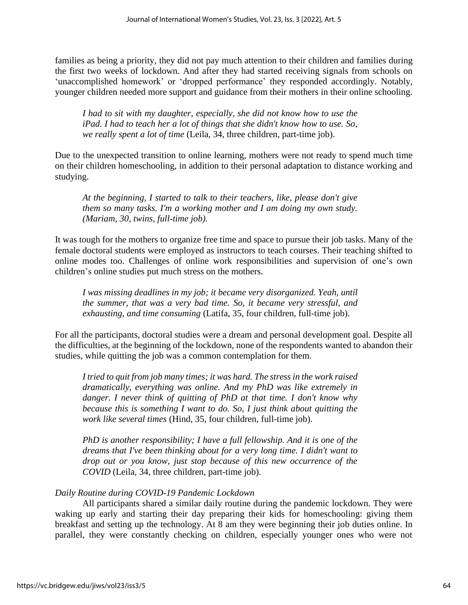families as being a priority, they did not pay much attention to their children and families during the first two weeks of lockdown. And after they had started receiving signals from schools on 'unaccomplished homework' or 'dropped performance' they responded accordingly. Notably, younger children needed more support and guidance from their mothers in their online schooling.

*I had to sit with my daughter, especially, she did not know how to use the iPad. I had to teach her a lot of things that she didn't know how to use. So, we really spent a lot of time* (Leila, 34, three children, part-time job).

Due to the unexpected transition to online learning, mothers were not ready to spend much time on their children homeschooling, in addition to their personal adaptation to distance working and studying.

*At the beginning, I started to talk to their teachers, like, please don't give them so many tasks. I'm a working mother and I am doing my own study. (Mariam, 30, twins, full-time job).*

It was tough for the mothers to organize free time and space to pursue their job tasks. Many of the female doctoral students were employed as instructors to teach courses. Their teaching shifted to online modes too. Challenges of online work responsibilities and supervision of one's own children's online studies put much stress on the mothers.

*I was missing deadlines in my job; it became very disorganized. Yeah, until the summer, that was a very bad time. So, it became very stressful, and exhausting, and time consuming* (Latifa, 35, four children, full-time job).

For all the participants, doctoral studies were a dream and personal development goal. Despite all the difficulties, at the beginning of the lockdown, none of the respondents wanted to abandon their studies, while quitting the job was a common contemplation for them.

*I tried to quit from job many times; it was hard. The stress in the work raised dramatically, everything was online. And my PhD was like extremely in danger. I never think of quitting of PhD at that time. I don't know why because this is something I want to do. So, I just think about quitting the work like several times* (Hind, 35, four children, full-time job).

*PhD is another responsibility; I have a full fellowship. And it is one of the dreams that I've been thinking about for a very long time. I didn't want to drop out or you know, just stop because of this new occurrence of the COVID* (Leila, 34, three children, part-time job).

## *Daily Routine during COVID-19 Pandemic Lockdown*

All participants shared a similar daily routine during the pandemic lockdown. They were waking up early and starting their day preparing their kids for homeschooling: giving them breakfast and setting up the technology. At 8 am they were beginning their job duties online. In parallel, they were constantly checking on children, especially younger ones who were not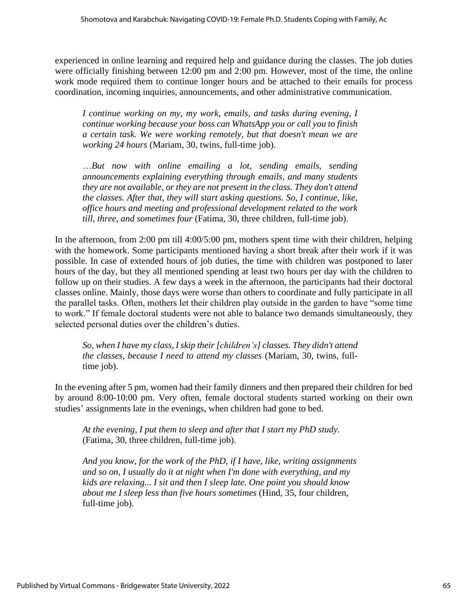experienced in online learning and required help and guidance during the classes. The job duties were officially finishing between 12:00 pm and 2:00 pm. However, most of the time, the online work mode required them to continue longer hours and be attached to their emails for process coordination, incoming inquiries, announcements, and other administrative communication.

*I continue working on my, my work, emails, and tasks during evening, I continue working because your boss can WhatsApp you or call you to finish a certain task. We were working remotely, but that doesn't mean we are working 24 hours* (Mariam, 30, twins, full-time job).

…*But now with online emailing a lot, sending emails, sending announcements explaining everything through emails, and many students they are not available, or they are not present in the class. They don't attend the classes. After that, they will start asking questions. So, I continue, like, office hours and meeting and professional development related to the work till, three, and sometimes four* (Fatima, 30, three children, full-time job).

In the afternoon, from 2:00 pm till 4:00/5:00 pm, mothers spent time with their children, helping with the homework. Some participants mentioned having a short break after their work if it was possible. In case of extended hours of job duties, the time with children was postponed to later hours of the day, but they all mentioned spending at least two hours per day with the children to follow up on their studies. A few days a week in the afternoon, the participants had their doctoral classes online. Mainly, those days were worse than others to coordinate and fully participate in all the parallel tasks. Often, mothers let their children play outside in the garden to have "some time to work." If female doctoral students were not able to balance two demands simultaneously, they selected personal duties over the children's duties.

*So, when I have my class, I skip their [children's] classes. They didn't attend the classes, because I need to attend my classes* (Mariam, 30, twins, fulltime job).

In the evening after 5 pm, women had their family dinners and then prepared their children for bed by around 8:00-10:00 pm. Very often, female doctoral students started working on their own studies' assignments late in the evenings, when children had gone to bed.

*At the evening, I put them to sleep and after that I start my PhD study.* (Fatima, 30, three children, full-time job).

*And you know, for the work of the PhD, if I have, like, writing assignments and so on, I usually do it at night when I'm done with everything, and my kids are relaxing... I sit and then I sleep late. One point you should know about me I sleep less than five hours sometimes* (Hind, 35, four children, full-time job).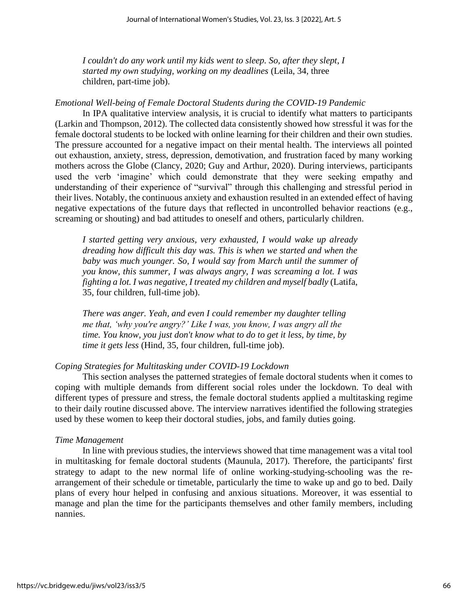*I couldn't do any work until my kids went to sleep. So, after they slept, I started my own studying, working on my deadlines* (Leila, 34, three children, part-time job).

#### *Emotional Well-being of Female Doctoral Students during the COVID-19 Pandemic*

In IPA qualitative interview analysis, it is crucial to identify what matters to participants (Larkin and Thompson, 2012). The collected data consistently showed how stressful it was for the female doctoral students to be locked with online learning for their children and their own studies. The pressure accounted for a negative impact on their mental health. The interviews all pointed out exhaustion, anxiety, stress, depression, demotivation, and frustration faced by many working mothers across the Globe (Clancy, 2020; Guy and Arthur, 2020). During interviews, participants used the verb 'imagine' which could demonstrate that they were seeking empathy and understanding of their experience of "survival" through this challenging and stressful period in their lives. Notably, the continuous anxiety and exhaustion resulted in an extended effect of having negative expectations of the future days that reflected in uncontrolled behavior reactions (e.g., screaming or shouting) and bad attitudes to oneself and others, particularly children.

*I started getting very anxious, very exhausted, I would wake up already dreading how difficult this day was. This is when we started and when the baby was much younger. So, I would say from March until the summer of you know, this summer, I was always angry, I was screaming a lot. I was fighting a lot. I was negative, I treated my children and myself badly* (Latifa, 35, four children, full-time job).

*There was anger. Yeah, and even I could remember my daughter telling me that, 'why you're angry?' Like I was, you know, I was angry all the time. You know, you just don't know what to do to get it less, by time, by time it gets less* (Hind, 35, four children, full-time job).

#### *Coping Strategies for Multitasking under COVID-19 Lockdown*

This section analyses the patterned strategies of female doctoral students when it comes to coping with multiple demands from different social roles under the lockdown. To deal with different types of pressure and stress, the female doctoral students applied a multitasking regime to their daily routine discussed above. The interview narratives identified the following strategies used by these women to keep their doctoral studies, jobs, and family duties going.

#### *Time Management*

In line with previous studies, the interviews showed that time management was a vital tool in multitasking for female doctoral students (Maunula, 2017). Therefore, the participants' first strategy to adapt to the new normal life of online working-studying-schooling was the rearrangement of their schedule or timetable, particularly the time to wake up and go to bed. Daily plans of every hour helped in confusing and anxious situations. Moreover, it was essential to manage and plan the time for the participants themselves and other family members, including nannies.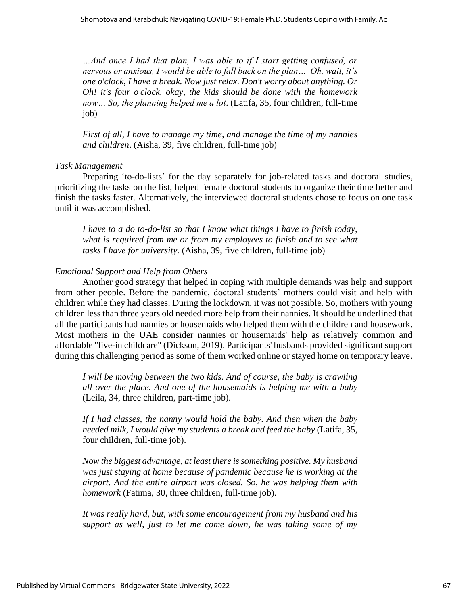*…And once I had that plan, I was able to if I start getting confused, or nervous or anxious, I would be able to fall back on the plan… Oh, wait, it's one o'clock, I have a break. Now just relax. Don't worry about anything. Or Oh! it's four o'clock, okay, the kids should be done with the homework now… So, the planning helped me a lot*. (Latifa, 35, four children, full-time job)

*First of all, I have to manage my time, and manage the time of my nannies and children*. (Aisha, 39, five children, full-time job)

#### *Task Management*

Preparing 'to-do-lists' for the day separately for job-related tasks and doctoral studies, prioritizing the tasks on the list, helped female doctoral students to organize their time better and finish the tasks faster. Alternatively, the interviewed doctoral students chose to focus on one task until it was accomplished.

*I have to a do to-do-list so that I know what things I have to finish today, what is required from me or from my employees to finish and to see what tasks I have for university.* (Aisha, 39, five children, full-time job)

#### *Emotional Support and Help from Others*

Another good strategy that helped in coping with multiple demands was help and support from other people. Before the pandemic, doctoral students' mothers could visit and help with children while they had classes. During the lockdown, it was not possible. So, mothers with young children less than three years old needed more help from their nannies. It should be underlined that all the participants had nannies or housemaids who helped them with the children and housework. Most mothers in the UAE consider nannies or housemaids' help as relatively common and affordable "live-in childcare" (Dickson, 2019). Participants' husbands provided significant support during this challenging period as some of them worked online or stayed home on temporary leave.

*I* will be moving between the two kids. And of course, the baby is crawling *all over the place. And one of the housemaids is helping me with a baby* (Leila, 34, three children, part-time job).

*If I had classes, the nanny would hold the baby. And then when the baby needed milk, I would give my students a break and feed the baby* (Latifa, 35, four children, full-time job).

*Now the biggest advantage, at least there is something positive. My husband was just staying at home because of pandemic because he is working at the airport. And the entire airport was closed. So, he was helping them with homework* (Fatima, 30, three children, full-time job).

*It was really hard, but, with some encouragement from my husband and his support as well, just to let me come down, he was taking some of my*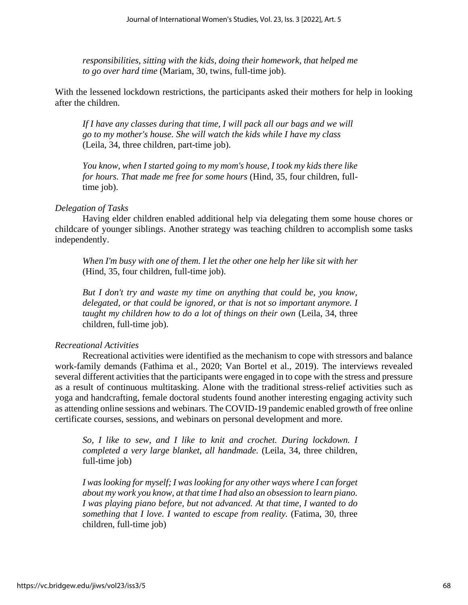*responsibilities, sitting with the kids, doing their homework, that helped me to go over hard time* (Mariam, 30, twins, full-time job).

With the lessened lockdown restrictions, the participants asked their mothers for help in looking after the children.

*If I have any classes during that time, I will pack all our bags and we will go to my mother's house. She will watch the kids while I have my class* (Leila, 34, three children, part-time job).

*You know, when I started going to my mom's house, I took my kids there like for hours. That made me free for some hours* (Hind, 35, four children, fulltime job).

#### *Delegation of Tasks*

Having elder children enabled additional help via delegating them some house chores or childcare of younger siblings. Another strategy was teaching children to accomplish some tasks independently.

*When I'm busy with one of them. I let the other one help her like sit with her* (Hind, 35, four children, full-time job).

*But I don't try and waste my time on anything that could be, you know, delegated, or that could be ignored, or that is not so important anymore. I taught my children how to do a lot of things on their own* (Leila, 34, three children, full-time job).

#### *Recreational Activities*

Recreational activities were identified as the mechanism to cope with stressors and balance work-family demands (Fathima et al., 2020; Van Bortel et al., 2019). The interviews revealed several different activities that the participants were engaged in to cope with the stress and pressure as a result of continuous multitasking. Alone with the traditional stress-relief activities such as yoga and handcrafting, female doctoral students found another interesting engaging activity such as attending online sessions and webinars. The COVID-19 pandemic enabled growth of free online certificate courses, sessions, and webinars on personal development and more.

*So, I like to sew, and I like to knit and crochet. During lockdown. I completed a very large blanket, all handmade.* (Leila, 34, three children, full-time job)

*I was looking for myself; I was looking for any other ways where I can forget about my work you know, at that time I had also an obsession to learn piano. I was playing piano before, but not advanced. At that time, I wanted to do something that I love. I wanted to escape from reality.* (Fatima, 30, three children, full-time job)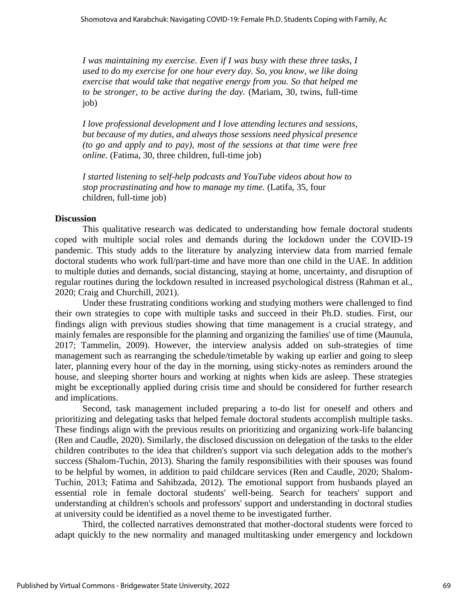*I was maintaining my exercise. Even if I was busy with these three tasks, I used to do my exercise for one hour every day. So, you know, we like doing exercise that would take that negative energy from you. So that helped me to be stronger, to be active during the day.* (Mariam, 30, twins, full-time job)

*I love professional development and I love attending lectures and sessions, but because of my duties, and always those sessions need physical presence (to go and apply and to pay), most of the sessions at that time were free online.* (Fatima, 30, three children, full-time job)

*I started listening to self-help podcasts and YouTube videos about how to stop procrastinating and how to manage my time.* (Latifa, 35, four children, full-time job)

#### **Discussion**

This qualitative research was dedicated to understanding how female doctoral students coped with multiple social roles and demands during the lockdown under the COVID-19 pandemic. This study adds to the literature by analyzing interview data from married female doctoral students who work full/part-time and have more than one child in the UAE. In addition to multiple duties and demands, social distancing, staying at home, uncertainty, and disruption of regular routines during the lockdown resulted in increased psychological distress (Rahman et al., 2020; Craig and Churchill, 2021).

Under these frustrating conditions working and studying mothers were challenged to find their own strategies to cope with multiple tasks and succeed in their Ph.D. studies. First, our findings align with previous studies showing that time management is a crucial strategy, and mainly females are responsible for the planning and organizing the families' use of time (Maunula, 2017; Tammelin, 2009). However, the interview analysis added on sub-strategies of time management such as rearranging the schedule/timetable by waking up earlier and going to sleep later, planning every hour of the day in the morning, using sticky-notes as reminders around the house, and sleeping shorter hours and working at nights when kids are asleep. These strategies might be exceptionally applied during crisis time and should be considered for further research and implications.

Second, task management included preparing a to-do list for oneself and others and prioritizing and delegating tasks that helped female doctoral students accomplish multiple tasks. These findings align with the previous results on prioritizing and organizing work-life balancing (Ren and Caudle, 2020). Similarly, the disclosed discussion on delegation of the tasks to the elder children contributes to the idea that children's support via such delegation adds to the mother's success (Shalom-Tuchin, 2013). Sharing the family responsibilities with their spouses was found to be helpful by women, in addition to paid childcare services (Ren and Caudle, 2020; Shalom-Tuchin, 2013; Fatima and Sahibzada, 2012). The emotional support from husbands played an essential role in female doctoral students' well-being. Search for teachers' support and understanding at children's schools and professors' support and understanding in doctoral studies at university could be identified as a novel theme to be investigated further.

Third, the collected narratives demonstrated that mother-doctoral students were forced to adapt quickly to the new normality and managed multitasking under emergency and lockdown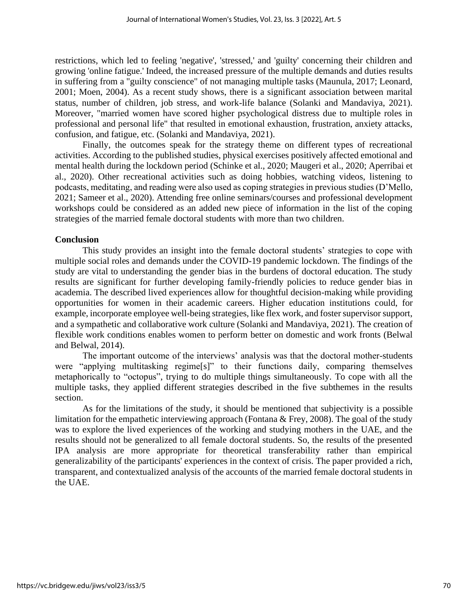restrictions, which led to feeling 'negative', 'stressed,' and 'guilty' concerning their children and growing 'online fatigue.' Indeed, the increased pressure of the multiple demands and duties results in suffering from a "guilty conscience" of not managing multiple tasks (Maunula, 2017; Leonard, 2001; Moen, 2004). As a recent study shows, there is a significant association between marital status, number of children, job stress, and work-life balance (Solanki and Mandaviya, 2021). Moreover, "married women have scored higher psychological distress due to multiple roles in professional and personal life" that resulted in emotional exhaustion, frustration, anxiety attacks, confusion, and fatigue, etc. (Solanki and Mandaviya, 2021).

Finally, the outcomes speak for the strategy theme on different types of recreational activities. According to the published studies, physical exercises positively affected emotional and mental health during the lockdown period (Schinke et al., 2020; Maugeri et al., 2020; Aperribai et al., 2020). Other recreational activities such as doing hobbies, watching videos, listening to podcasts, meditating, and reading were also used as coping strategies in previous studies (D'Mello, 2021; Sameer et al., 2020). Attending free online seminars/courses and professional development workshops could be considered as an added new piece of information in the list of the coping strategies of the married female doctoral students with more than two children.

#### **Conclusion**

This study provides an insight into the female doctoral students' strategies to cope with multiple social roles and demands under the COVID-19 pandemic lockdown. The findings of the study are vital to understanding the gender bias in the burdens of doctoral education. The study results are significant for further developing family-friendly policies to reduce gender bias in academia. The described lived experiences allow for thoughtful decision-making while providing opportunities for women in their academic careers. Higher education institutions could, for example, incorporate employee well-being strategies, like flex work, and foster supervisor support, and a sympathetic and collaborative work culture (Solanki and Mandaviya, 2021). The creation of flexible work conditions enables women to perform better on domestic and work fronts (Belwal and Belwal, 2014).

The important outcome of the interviews' analysis was that the doctoral mother-students were "applying multitasking regime[s]" to their functions daily, comparing themselves metaphorically to "octopus", trying to do multiple things simultaneously. To cope with all the multiple tasks, they applied different strategies described in the five subthemes in the results section.

As for the limitations of the study, it should be mentioned that subjectivity is a possible limitation for the empathetic interviewing approach (Fontana & Frey, 2008). The goal of the study was to explore the lived experiences of the working and studying mothers in the UAE, and the results should not be generalized to all female doctoral students. So, the results of the presented IPA analysis are more appropriate for theoretical transferability rather than empirical generalizability of the participants' experiences in the context of crisis. The paper provided a rich, transparent, and contextualized analysis of the accounts of the married female doctoral students in the UAE.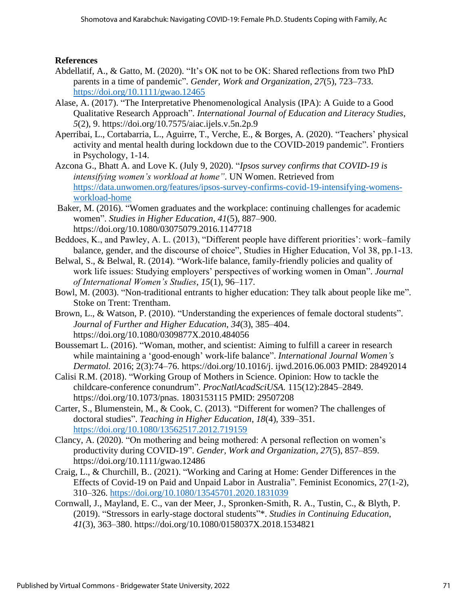## **References**

- Abdellatif, A., & Gatto, M. (2020). "It's OK not to be OK: Shared reflections from two PhD parents in a time of pandemic". *Gender, Work and Organization*, *27*(5), 723–733. <https://doi.org/10.1111/gwao.12465>
- Alase, A. (2017). "The Interpretative Phenomenological Analysis (IPA): A Guide to a Good Qualitative Research Approach". *International Journal of Education and Literacy Studies*, *5*(2), 9. https://doi.org/10.7575/aiac.ijels.v.5n.2p.9
- Aperribai, L., Cortabarria, L., Aguirre, T., Verche, E., & Borges, A. (2020). "Teachers' physical activity and mental health during lockdown due to the COVID-2019 pandemic". Frontiers in Psychology, 1-14.
- Azcona G., Bhatt A. and Love K. (July 9, 2020). "*Ipsos survey confirms that COVID-19 is intensifying women's workload at home"*. UN Women. Retrieved from [https://data.unwomen.org/features/ipsos-survey-confirms-covid-19-intensifying-womens](https://data.unwomen.org/features/ipsos-survey-confirms-covid-19-intensifying-womens-workload-home)[workload-home](https://data.unwomen.org/features/ipsos-survey-confirms-covid-19-intensifying-womens-workload-home)
- Baker, M. (2016). "Women graduates and the workplace: continuing challenges for academic women". *Studies in Higher Education*, *41*(5), 887–900. https://doi.org/10.1080/03075079.2016.1147718
- Beddoes, K., and Pawley, A. L. (2013), "Different people have different priorities': work–family balance, gender, and the discourse of choice", Studies in Higher Education, Vol 38, pp.1-13.
- Belwal, S., & Belwal, R. (2014). "Work-life balance, family-friendly policies and quality of work life issues: Studying employers' perspectives of working women in Oman". *Journal of International Women's Studies*, *15*(1), 96–117.
- Bowl, M. (2003). "Non-traditional entrants to higher education: They talk about people like me". Stoke on Trent: Trentham.
- Brown, L., & Watson, P. (2010). "Understanding the experiences of female doctoral students". *Journal of Further and Higher Education*, *34*(3), 385–404. https://doi.org/10.1080/0309877X.2010.484056
- Boussemart L. (2016). "Woman, mother, and scientist: Aiming to fulfill a career in research while maintaining a 'good-enough' work-life balance". *International Journal Women's Dermatol.* 2016; 2(3):74–76. https://doi.org/10.1016/j. ijwd.2016.06.003 PMID: 28492014
- Calisi R.M. (2018). "Working Group of Mothers in Science. Opinion: How to tackle the childcare-conference conundrum". *ProcNatlAcadSciUSA.* 115(12):2845–2849. https://doi.org/10.1073/pnas. 1803153115 PMID: 29507208
- Carter, S., Blumenstein, M., & Cook, C. (2013). "Different for women? The challenges of doctoral studies". *Teaching in Higher Education*, *18*(4), 339–351. <https://doi.org/10.1080/13562517.2012.719159>
- Clancy, A. (2020). "On mothering and being mothered: A personal reflection on women's productivity during COVID-19". *Gender, Work and Organization*, *27*(5), 857–859. https://doi.org/10.1111/gwao.12486
- Craig, L., & Churchill, B.. (2021). "Working and Caring at Home: Gender Differences in the Effects of Covid-19 on Paid and Unpaid Labor in Australia". Feminist Economics, 27(1-2), 310–326.<https://doi.org/10.1080/13545701.2020.1831039>
- Cornwall, J., Mayland, E. C., van der Meer, J., Spronken-Smith, R. A., Tustin, C., & Blyth, P. (2019). "Stressors in early-stage doctoral students"\*. *Studies in Continuing Education*, *41*(3), 363–380. https://doi.org/10.1080/0158037X.2018.1534821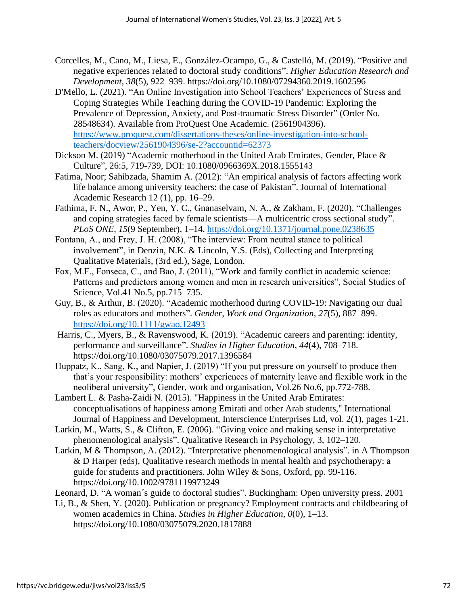- Corcelles, M., Cano, M., Liesa, E., González-Ocampo, G., & Castelló, M. (2019). "Positive and negative experiences related to doctoral study conditions". *Higher Education Research and Development*, *38*(5), 922–939. https://doi.org/10.1080/07294360.2019.1602596
- D'Mello, L. (2021). "An Online Investigation into School Teachers' Experiences of Stress and Coping Strategies While Teaching during the COVID-19 Pandemic: Exploring the Prevalence of Depression, Anxiety, and Post-traumatic Stress Disorder" (Order No. 28548634). Available from ProQuest One Academic. (2561904396). [https://www.proquest.com/dissertations-theses/online-investigation-into-school](https://www.proquest.com/dissertations-theses/online-investigation-into-school-teachers/docview/2561904396/se-2?accountid=62373)[teachers/docview/2561904396/se-2?accountid=62373](https://www.proquest.com/dissertations-theses/online-investigation-into-school-teachers/docview/2561904396/se-2?accountid=62373)
- Dickson M. (2019) "Academic motherhood in the United Arab Emirates, Gender, Place & Culture", 26:5, 719-739, DOI: 10.1080/0966369X.2018.1555143
- Fatima, Noor; Sahibzada, Shamim A. (2012): "An empirical analysis of factors affecting work life balance among university teachers: the case of Pakistan". Journal of International Academic Research 12 (1), pp. 16–29.
- Fathima, F. N., Awor, P., Yen, Y. C., Gnanaselvam, N. A., & Zakham, F. (2020). "Challenges and coping strategies faced by female scientists—A multicentric cross sectional study". *PLoS ONE*, *15*(9 September), 1–14.<https://doi.org/10.1371/journal.pone.0238635>
- Fontana, A., and Frey, J. H. (2008), "The interview: From neutral stance to political involvement", in Denzin, N.K. & Lincoln, Y.S. (Eds), Collecting and Interpreting Qualitative Materials, (3rd ed.), Sage, London.
- Fox, M.F., Fonseca, C., and Bao, J. (2011), "Work and family conflict in academic science: Patterns and predictors among women and men in research universities", Social Studies of Science, Vol.41 No.5, pp.715–735.
- Guy, B., & Arthur, B. (2020). "Academic motherhood during COVID-19: Navigating our dual roles as educators and mothers". *Gender, Work and Organization*, *27*(5), 887–899. <https://doi.org/10.1111/gwao.12493>
- Harris, C., Myers, B., & Ravenswood, K. (2019). "Academic careers and parenting: identity, performance and surveillance". *Studies in Higher Education*, *44*(4), 708–718. https://doi.org/10.1080/03075079.2017.1396584
- Huppatz, K., Sang, K., and Napier, J. (2019) "If you put pressure on yourself to produce then that's your responsibility: mothers' experiences of maternity leave and flexible work in the neoliberal university", Gender, work and organisation, Vol.26 No.6, pp.772-788.
- Lambert L. & Pasha-Zaidi N. (2015). "Happiness in the United Arab Emirates: conceptualisations of happiness among Emirati and other Arab students," International Journal of Happiness and Development, Interscience Enterprises Ltd, vol. 2(1), pages 1-21.
- Larkin, M., Watts, S., & Clifton, E. (2006). "Giving voice and making sense in interpretative phenomenological analysis". Qualitative Research in Psychology, 3, 102–120.
- Larkin, M & Thompson, A. (2012). "Interpretative phenomenological analysis". in A Thompson & D Harper (eds), Qualitative research methods in mental health and psychotherapy: a guide for students and practitioners. John Wiley & Sons, Oxford, pp. 99-116. https://doi.org/10.1002/9781119973249

Leonard, D. "A woman´s guide to doctoral studies". Buckingham: Open university press. 2001

Li, B., & Shen, Y. (2020). Publication or pregnancy? Employment contracts and childbearing of women academics in China. *Studies in Higher Education*, *0*(0), 1–13. https://doi.org/10.1080/03075079.2020.1817888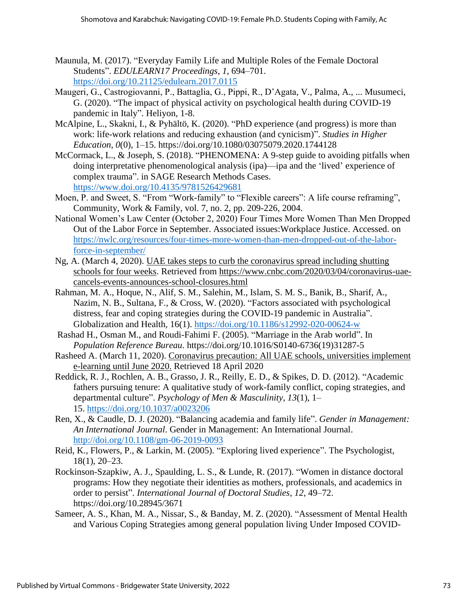- Maunula, M. (2017). "Everyday Family Life and Multiple Roles of the Female Doctoral Students". *EDULEARN17 Proceedings*, *1*, 694–701. <https://doi.org/10.21125/edulearn.2017.0115>
- Maugeri, G., Castrogiovanni, P., Battaglia, G., Pippi, R., D'Agata, V., Palma, A., ... Musumeci, G. (2020). "The impact of physical activity on psychological health during COVID-19 pandemic in Italy". Heliyon, 1-8.
- McAlpine, L., Skakni, I., & Pyhältö, K. (2020). "PhD experience (and progress) is more than work: life-work relations and reducing exhaustion (and cynicism)". *Studies in Higher Education*, *0*(0), 1–15. https://doi.org/10.1080/03075079.2020.1744128
- McCormack, L., & Joseph, S. (2018). "PHENOMENA: A 9-step guide to avoiding pitfalls when doing interpretative phenomenological analysis (ipa)—ipa and the 'lived' experience of complex trauma". in SAGE Research Methods Cases. <https://www.doi.org/10.4135/9781526429681>
- Moen, P. and Sweet, S. "From "Work-family" to "Flexible careers": A life course reframing", Community, Work & Family, vol. 7, no. 2, pp. 209-226, 2004.
- National Women's Law Center (October 2, 2020) Four Times More Women Than Men Dropped Out of the Labor Force in September. Associated issues:Workplace Justice. Accessed. on [https://nwlc.org/resources/four-times-more-women-than-men-dropped-out-of-the-labor](https://nwlc.org/resources/four-times-more-women-than-men-dropped-out-of-the-labor-force-in-september/)[force-in-september/](https://nwlc.org/resources/four-times-more-women-than-men-dropped-out-of-the-labor-force-in-september/)
- Ng, A. (March 4, 2020). [UAE takes steps to curb the coronavirus spread including shutting](https://www.cnbc.com/2020/03/04/coronavirus-uae-cancels-events-announces-school-closures.html)  [schools for four weeks.](https://www.cnbc.com/2020/03/04/coronavirus-uae-cancels-events-announces-school-closures.html) Retrieved from [https://www.cnbc.com/2020/03/04/coronavirus-uae](https://www.cnbc.com/2020/03/04/coronavirus-uae-cancels-events-announces-school-closures.html)[cancels-events-announces-school-closures.html](https://www.cnbc.com/2020/03/04/coronavirus-uae-cancels-events-announces-school-closures.html)
- Rahman, M. A., Hoque, N., Alif, S. M., Salehin, M., Islam, S. M. S., Banik, B., Sharif, A., Nazim, N. B., Sultana, F., & Cross, W. (2020). "Factors associated with psychological distress, fear and coping strategies during the COVID-19 pandemic in Australia". Globalization and Health, 16(1).<https://doi.org/10.1186/s12992-020-00624-w>
- Rashad H., Osman M., and Roudi-Fahimi F. (2005). "Marriage in the Arab world". In *Population Reference Bureau*. https://doi.org/10.1016/S0140-6736(19)31287-5
- Rasheed A. (March 11, 2020). [Coronavirus precaution: All UAE schools, universities implement](https://gulfnews.com/uae/education/coronavirus-precaution-all-uae-schools-universities-implement-e-learning-until-june-2020-1.70313927)  [e-learning until June 2020.](https://gulfnews.com/uae/education/coronavirus-precaution-all-uae-schools-universities-implement-e-learning-until-june-2020-1.70313927) Retrieved 18 April 2020
- Reddick, R. J., Rochlen, A. B., Grasso, J. R., Reilly, E. D., & Spikes, D. D. (2012). "Academic fathers pursuing tenure: A qualitative study of work-family conflict, coping strategies, and departmental culture". *Psychology of Men & Masculinity, 13*(1), 1– 15. [https://doi.org/10.1037/a0023206](https://psycnet.apa.org/doi/10.1037/a0023206)
- Ren, X., & Caudle, D. J. (2020). "Balancing academia and family life". *Gender in Management: An International Journal*. Gender in Management: An International Journal. <http://doi.org/10.1108/gm-06-2019-0093>
- Reid, K., Flowers, P., & Larkin, M. (2005). "Exploring lived experience". The Psychologist, 18(1), 20–23.
- Rockinson-Szapkiw, A. J., Spaulding, L. S., & Lunde, R. (2017). "Women in distance doctoral programs: How they negotiate their identities as mothers, professionals, and academics in order to persist". *International Journal of Doctoral Studies*, *12*, 49–72. https://doi.org/10.28945/3671
- Sameer, A. S., Khan, M. A., Nissar, S., & Banday, M. Z. (2020). "Assessment of Mental Health and Various Coping Strategies among general population living Under Imposed COVID-